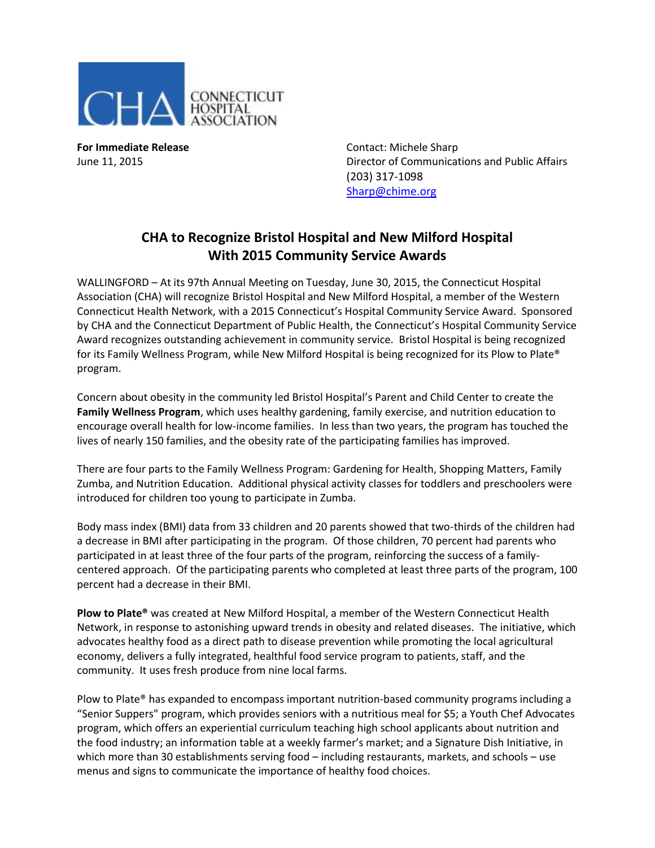

**For Immediate Release Contact: Michele Sharp** June 11, 2015 Director of Communications and Public Affairs (203) 317-1098 [Sharp@chime.org](mailto:Sharp@chime.org)

## **CHA to Recognize Bristol Hospital and New Milford Hospital With 2015 Community Service Awards**

WALLINGFORD – At its 97th Annual Meeting on Tuesday, June 30, 2015, the Connecticut Hospital Association (CHA) will recognize Bristol Hospital and New Milford Hospital, a member of the Western Connecticut Health Network, with a 2015 Connecticut's Hospital Community Service Award. Sponsored by CHA and the Connecticut Department of Public Health, the Connecticut's Hospital Community Service Award recognizes outstanding achievement in community service. Bristol Hospital is being recognized for its Family Wellness Program, while New Milford Hospital is being recognized for its Plow to Plate® program.

Concern about obesity in the community led Bristol Hospital's Parent and Child Center to create the **Family Wellness Program**, which uses healthy gardening, family exercise, and nutrition education to encourage overall health for low-income families. In less than two years, the program has touched the lives of nearly 150 families, and the obesity rate of the participating families has improved.

There are four parts to the Family Wellness Program: Gardening for Health, Shopping Matters, Family Zumba, and Nutrition Education. Additional physical activity classes for toddlers and preschoolers were introduced for children too young to participate in Zumba.

Body mass index (BMI) data from 33 children and 20 parents showed that two-thirds of the children had a decrease in BMI after participating in the program. Of those children, 70 percent had parents who participated in at least three of the four parts of the program, reinforcing the success of a familycentered approach. Of the participating parents who completed at least three parts of the program, 100 percent had a decrease in their BMI.

**Plow to Plate®** was created at New Milford Hospital, a member of the Western Connecticut Health Network, in response to astonishing upward trends in obesity and related diseases. The initiative, which advocates healthy food as a direct path to disease prevention while promoting the local agricultural economy, delivers a fully integrated, healthful food service program to patients, staff, and the community. It uses fresh produce from nine local farms.

Plow to Plate® has expanded to encompass important nutrition-based community programs including a "Senior Suppers" program, which provides seniors with a nutritious meal for \$5; a Youth Chef Advocates program, which offers an experiential curriculum teaching high school applicants about nutrition and the food industry; an information table at a weekly farmer's market; and a Signature Dish Initiative, in which more than 30 establishments serving food – including restaurants, markets, and schools – use menus and signs to communicate the importance of healthy food choices.